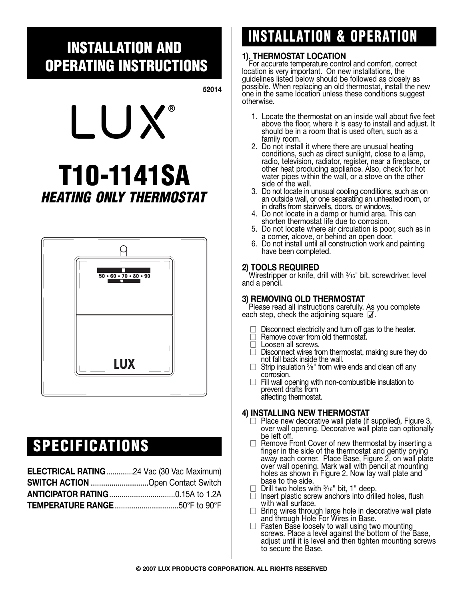## **INSTALLATION AND OPERATING INSTRUCTIONS**

**52014**



# **T10-1141SA HEATING ONLY THERMOSTAT**



## **SPECIFICATIONS**

| <b>ELECTRICAL RATING24 Vac (30 Vac Maximum)</b> |  |
|-------------------------------------------------|--|
| <b>SWITCH ACTION</b> Open Contact Switch        |  |
|                                                 |  |
|                                                 |  |

# **INSTALLATION & OPERATION**

## **1). THERMOSTAT LOCATION**

For accurate temperature control and comfort, correct location is very important. On new installations, the guidelines listed below should be followed as closely as possible. When replacing an old thermostat, install the new one in the same location unless these conditions suggest otherwise.

- 1. Locate the thermostat on an inside wall about five feet above the floor, where it is easy to install and adjust. It should be in a room that is used often, such as a family room.
- 2. Do not install it where there are unusual heating conditions, such as direct sunlight, close to a lamp, radio, television, radiator, register, near a fireplace, or other heat producing appliance. Also, check for hot water pipes within the wall, or a stove on the other side of the wall.
- 3. Do not locate in unusual cooling conditions, such as on an outside wall, or one separating an unheated room, or in drafts from stairwells, doors, or windows.
- 4. Do not locate in a damp or humid area. This can shorten thermostat life due to corrosion.
- 5. Do not locate where air circulation is poor, such as in a corner, alcove, or behind an open door.
- 6. Do not install until all construction work and painting have been completed.

### **2) TOOLS REQUIRED**

Wirestripper or knife, drill with  $\frac{3}{16}$ " bit, screwdriver, level and a pencil.

#### **3) REMOVING OLD THERMOSTAT**

Please read all instructions carefully. As you complete each step, check the adjoining square  $\mathbb Z$ .

- □ Disconnect electricity and turn off gas to the heater.<br>□ Remove cover from old thermostat.
- 
- □ Loosen all screws.
- $\Box$  Disconnect wires from thermostat, making sure they do not fall back inside the wall.
- $\Box$  Strip insulation  $\frac{3}{8}$ " from wire ends and clean off any corrosion.
- $\Box$  Fill wall opening with non-combustible insulation to prevent drafts from affecting thermostat.

### **4) INSTALLING NEW THERMOSTAT**

- $\Box$  Place new decorative wall plate (if supplied), Figure 3, over wall opening. Decorative wall plate can optionally be left off.
- $\Box$  Remove Front Cover of new thermostat by inserting a finger in the side of the thermostat and gently prying away each corner. Place Base, Figure 2, on wall plate over wall opening. Mark wall with pencil at mounting holes as shown in Figure 2. Now lay wall plate and base to the side.
- $\Box$  Drill two holes with  $\frac{3}{16}$ " bit, 1" deep.<br> $\Box$  Insert plastic screw anchors into drill
- Insert plastic screw anchors into drilled holes, flush with wall surface.
- $\Box$  Bring wires through large hole in decorative wall plate and through Hole For Wires in Base.
- $\Box$  Fasten Base loosely to wall using two mounting screws. Place a level against the bottom of the Base, adjust until it is level and then tighten mounting screws to secure the Base.